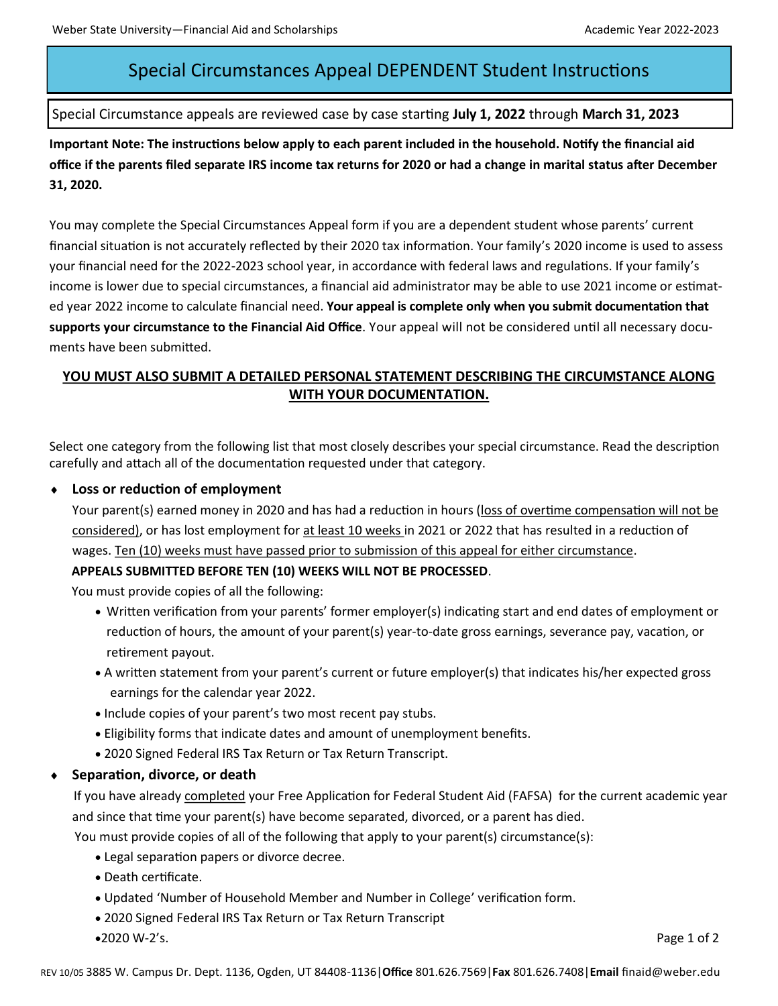## Special Circumstances Appeal DEPENDENT Student Instructions

#### Special Circumstance appeals are reviewed case by case starting **July 1, 2022** through **March 31, 2023**

**Important Note: The instructions below apply to each parent included in the household. Notify the financial aid office if the parents filed separate IRS income tax returns for 2020 or had a change in marital status after December 31, 2020.**

You may complete the Special Circumstances Appeal form if you are a dependent student whose parents' current financial situation is not accurately reflected by their 2020 tax information. Your family's 2020 income is used to assess your financial need for the 2022-2023 school year, in accordance with federal laws and regulations. If your family's income is lower due to special circumstances, a financial aid administrator may be able to use 2021 income or estimated year 2022 income to calculate financial need. **Your appeal is complete only when you submit documentation that supports your circumstance to the Financial Aid Office**. Your appeal will not be considered until all necessary documents have been submitted.

### **YOU MUST ALSO SUBMIT A DETAILED PERSONAL STATEMENT DESCRIBING THE CIRCUMSTANCE ALONG WITH YOUR DOCUMENTATION.**

Select one category from the following list that most closely describes your special circumstance. Read the description carefully and attach all of the documentation requested under that category.

#### **Loss or reduction of employment**

Your parent(s) earned money in 2020 and has had a reduction in hours (loss of overtime compensation will not be considered), or has lost employment for at least 10 weeks in 2021 or 2022 that has resulted in a reduction of wages. Ten (10) weeks must have passed prior to submission of this appeal for either circumstance.

#### **APPEALS SUBMITTED BEFORE TEN (10) WEEKS WILL NOT BE PROCESSED**.

You must provide copies of all the following:

- Written verification from your parents' former employer(s) indicating start and end dates of employment or reduction of hours, the amount of your parent(s) year-to-date gross earnings, severance pay, vacation, or retirement payout.
- A written statement from your parent's current or future employer(s) that indicates his/her expected gross earnings for the calendar year 2022.
- Include copies of your parent's two most recent pay stubs.
- Eligibility forms that indicate dates and amount of unemployment benefits.
- 2020 Signed Federal IRS Tax Return or Tax Return Transcript.

#### **Separation, divorce, or death**

If you have already completed your Free Application for Federal Student Aid (FAFSA) for the current academic year and since that time your parent(s) have become separated, divorced, or a parent has died.

You must provide copies of all of the following that apply to your parent(s) circumstance(s):

- Legal separation papers or divorce decree.
- Death certificate.
- Updated 'Number of Household Member and Number in College' verification form.
- 2020 Signed Federal IRS Tax Return or Tax Return Transcript
- •2020 W-2's. Page 1 of 2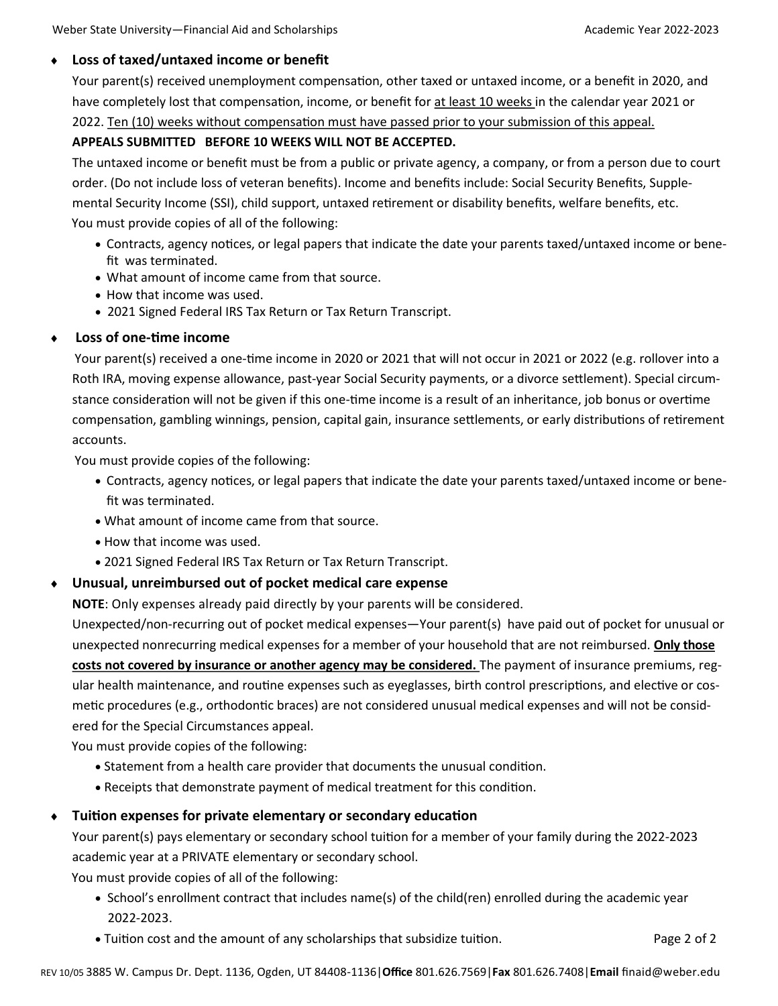#### **Loss of taxed/untaxed income or benefit**

Your parent(s) received unemployment compensation, other taxed or untaxed income, or a benefit in 2020, and have completely lost that compensation, income, or benefit for at least 10 weeks in the calendar year 2021 or 2022. Ten (10) weeks without compensation must have passed prior to your submission of this appeal.

#### **APPEALS SUBMITTED BEFORE 10 WEEKS WILL NOT BE ACCEPTED.**

The untaxed income or benefit must be from a public or private agency, a company, or from a person due to court order. (Do not include loss of veteran benefits). Income and benefits include: Social Security Benefits, Supplemental Security Income (SSI), child support, untaxed retirement or disability benefits, welfare benefits, etc. You must provide copies of all of the following:

- Contracts, agency notices, or legal papers that indicate the date your parents taxed/untaxed income or benefit was terminated.
- What amount of income came from that source.
- How that income was used.
- 2021 Signed Federal IRS Tax Return or Tax Return Transcript.

#### **Loss of one-time income**

 Your parent(s) received a one-time income in 2020 or 2021 that will not occur in 2021 or 2022 (e.g. rollover into a Roth IRA, moving expense allowance, past-year Social Security payments, or a divorce settlement). Special circumstance consideration will not be given if this one-time income is a result of an inheritance, job bonus or overtime compensation, gambling winnings, pension, capital gain, insurance settlements, or early distributions of retirement accounts.

You must provide copies of the following:

- Contracts, agency notices, or legal papers that indicate the date your parents taxed/untaxed income or benefit was terminated.
- What amount of income came from that source.
- How that income was used.
- 2021 Signed Federal IRS Tax Return or Tax Return Transcript.

#### **Unusual, unreimbursed out of pocket medical care expense**

**NOTE**: Only expenses already paid directly by your parents will be considered.

Unexpected/non-recurring out of pocket medical expenses—Your parent(s) have paid out of pocket for unusual or unexpected nonrecurring medical expenses for a member of your household that are not reimbursed. **Only those costs not covered by insurance or another agency may be considered.** The payment of insurance premiums, regular health maintenance, and routine expenses such as eyeglasses, birth control prescriptions, and elective or cosmetic procedures (e.g., orthodontic braces) are not considered unusual medical expenses and will not be considered for the Special Circumstances appeal.

You must provide copies of the following:

- Statement from a health care provider that documents the unusual condition.
- Receipts that demonstrate payment of medical treatment for this condition.

#### **Tuition expenses for private elementary or secondary education**

Your parent(s) pays elementary or secondary school tuition for a member of your family during the 2022-2023 academic year at a PRIVATE elementary or secondary school.

You must provide copies of all of the following:

- School's enrollment contract that includes name(s) of the child(ren) enrolled during the academic year 2022-2023.
- Tuition cost and the amount of any scholarships that subsidize tuition. Page 2 of 2